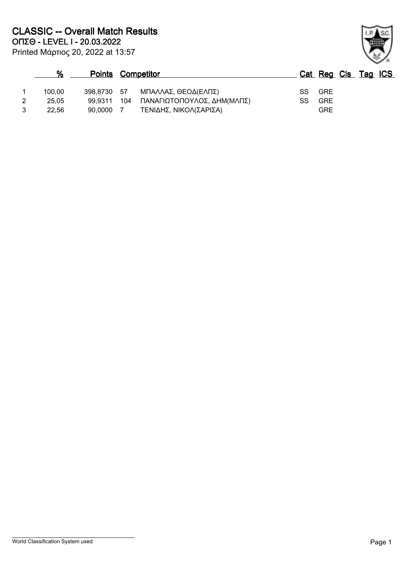| $\%$   | <b>Points Competitor</b> |                            |    | Cat Reg Cls Tag ICS |  |  |
|--------|--------------------------|----------------------------|----|---------------------|--|--|
| 100.00 | 398.8730 57              | ΜΠΑΛΛΑΣ, ΘΕΟΔ(ΕΛΠΣ)        |    | SS GRE              |  |  |
| 25.05  | 99.9311 104              | ΠΑΝΑΓΙΩΤΟΠΟΥΛΟΣ, ΔΗΜ(ΜΛΠΣ) | SS | GRE                 |  |  |
| 22.56  | 90.0000                  | ΤΕΝΙΔΗΣ, ΝΙΚΟΛ(ΣΑΡΙΣΑ)     |    | GRE                 |  |  |

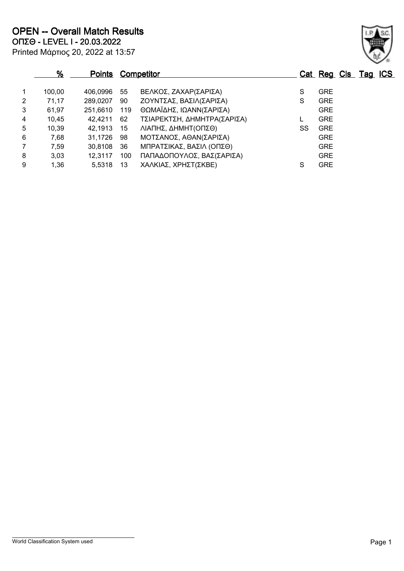|                | %      | <b>Points Competitor</b> |     |                             |    | Cat Reg Cls Tag ICS |  |  |
|----------------|--------|--------------------------|-----|-----------------------------|----|---------------------|--|--|
| $\overline{1}$ | 100,00 | 406.0996                 | 55  | ΒΕΛΚΟΣ, ΖΑΧΑΡ(ΣΑΡΙΣΑ)       | S  | <b>GRE</b>          |  |  |
| $\overline{2}$ | 71,17  | 289,0207                 | 90  | ΖΟΥΝΤΣΑΣ, ΒΑΣΙΛ(ΣΑΡΙΣΑ)     | S  | <b>GRE</b>          |  |  |
| 3              | 61,97  | 251,6610                 | 119 | ΘΩΜΑΪΔΗΣ, ΙΩΑΝΝ(ΣΑΡΙΣΑ)     |    | <b>GRE</b>          |  |  |
| $\overline{4}$ | 10,45  | 42,4211                  | 62  | ΤΣΙΑΡΕΚΤΣΗ, ΔΗΜΗΤΡΑ(ΣΑΡΙΣΑ) |    | <b>GRE</b>          |  |  |
| 5              | 10,39  | 42,1913                  | 15  | ΛΙΑΠΗΣ, ΔΗΜΗΤ(ΟΠΣΘ)         | SS | <b>GRE</b>          |  |  |
| 6              | 7,68   | 31,1726                  | 98  | ΜΟΤΣΑΝΟΣ, ΑΘΑΝ(ΣΑΡΙΣΑ)      |    | <b>GRE</b>          |  |  |
| $\overline{7}$ | 7,59   | 30,8108                  | 36  | ΜΠΡΑΤΣΙΚΑΣ, ΒΑΣΙΛ (ΟΠΣΘ)    |    | <b>GRE</b>          |  |  |
| 8              | 3,03   | 12,3117                  | 100 | ΠΑΠΑΔΟΠΟΥΛΟΣ, ΒΑΣ(ΣΑΡΙΣΑ)   |    | <b>GRE</b>          |  |  |
| 9              | 1,36   | 5,5318                   | 13  | ΧΑΛΚΙΑΣ, ΧΡΗΣΤ(ΣΚΒΕ)        | S  | <b>GRE</b>          |  |  |

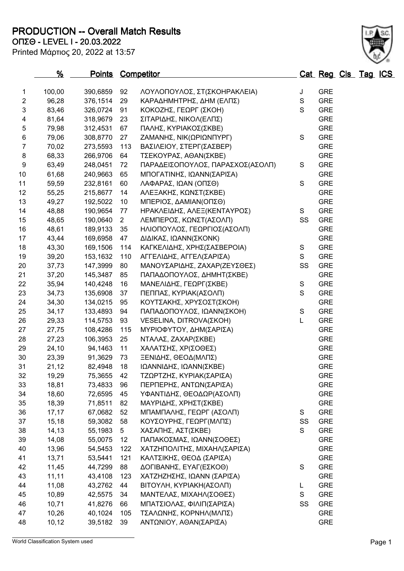**PRODUCTION -- Overall Match Results**

**ΟΠΣΘ - LEVEL I - 20.03.2022**

| Printed Μάρτιος 20, 2022 at 13:57 |  |  |  |  |
|-----------------------------------|--|--|--|--|
|-----------------------------------|--|--|--|--|

| 1                       | 100,00 | 390,6859   | 92             | ΛΟΥΛΟΠΟΥΛΟΣ, ΣΤ(ΣΚΟΗΡΑΚΛΕΙΑ)     | J             | <b>GRE</b> |
|-------------------------|--------|------------|----------------|----------------------------------|---------------|------------|
| $\overline{c}$          | 96,28  | 376,1514   | 29             | ΚΑΡΑΔΗΜΗΤΡΗΣ, ΔΗΜ (ΕΛΠΣ)         | $\mathsf S$   | <b>GRE</b> |
| 3                       | 83,46  | 326,0724   | 91             | ΚΟΚΟΖΗΣ, ΓΕΩΡΓ (ΣΚΟΗ)            | S             | <b>GRE</b> |
| $\overline{\mathbf{4}}$ | 81,64  | 318,9679   | 23             | ΣΙΤΑΡΙΔΗΣ, ΝΙΚΟΛ(ΕΛΠΣ)           |               | <b>GRE</b> |
| $\mathbf 5$             | 79,98  | 312,4531   | 67             | ΠΑΛΗΣ, ΚΥΡΙΑΚΟΣ(ΣΚΒΕ)            |               | <b>GRE</b> |
| 6                       | 79,06  | 308,8770   | 27             | ΖΑΜΑΝΗΣ, ΝΙΚ(ΩΡΙΩΝΠΥΡΓ)          | S             | <b>GRE</b> |
| $\overline{7}$          | 70,02  | 273,5593   | 113            | ΒΑΣΙΛΕΙΟΥ, ΣΤΕΡΓ(ΣΑΣΒΕΡ)         |               | <b>GRE</b> |
| $\bf 8$                 | 68,33  | 266,9706   | 64             | ΤΣΕΚΟΥΡΑΣ, ΑΘΑΝ(ΣΚΒΕ)            |               | <b>GRE</b> |
| $\boldsymbol{9}$        | 63,49  | 248,0451   | 72             | ΠΑΡΑΔΕΙΣΟΠΟΥΛΟΣ, ΠΑΡΑΣΧΟΣ(ΑΣΟΛΠ) | $\mathsf S$   | <b>GRE</b> |
| 10                      | 61,68  | 240,9663   | 65             | ΜΠΟΓΑΤΙΝΗΣ, ΙΩΑΝΝ(ΣΑΡΙΣΑ)        |               | <b>GRE</b> |
| 11                      | 59,59  | 232,8161   | 60             | ΛΑΦΑΡΑΣ, ΙΩΑΝ (ΟΠΣΘ)             | S             | <b>GRE</b> |
| 12                      | 55,25  | 215,8677   | 14             | ΑΛΕΞΑΚΗΣ, ΚΩΝΣΤ(ΣΚΒΕ)            |               | <b>GRE</b> |
| 13                      | 49,27  | 192,5022   | 10             | ΜΠΕΡΙΟΣ, ΔΑΜΙΑΝ(ΟΠΣΘ)            |               | <b>GRE</b> |
| 14                      | 48,88  | 190,9654   | 77             | ΗΡΑΚΛΕΙΔΗΣ, ΑΛΕΞ(ΚΕΝΤΑΥΡΟΣ)      | S             | <b>GRE</b> |
| 15                      | 48,65  | 190,0640   | $2^{\circ}$    | ΛΕΜΠΕΡΟΣ, ΚΩΝΣΤ(ΑΣΟΛΠ)           | SS            | <b>GRE</b> |
| 16                      | 48,61  | 189,9133   | 35             | ΗΛΙΟΠΟΥΛΟΣ, ΓΕΩΡΓΙΟΣ(ΑΣΟΛΠ)      |               | <b>GRE</b> |
| 17                      | 43,44  | 169,6958   | 47             | ΔΙΔΙΚΑΣ, ΙΩΑΝΝ(ΣΚΟΝΚ)            |               | <b>GRE</b> |
| 18                      | 43,30  | 169,1506   | 114            | ΚΑΓΚΕΛΙΔΗΣ, ΧΡΗΣ(ΣΑΣΒΕΡΟΙΑ)      | S             | <b>GRE</b> |
| 19                      | 39,20  | 153,1632   | 110            | ΑΓΓΕΛΙΔΗΣ, ΑΓΓΕΛ(ΣΑΡΙΣΑ)         | S             | <b>GRE</b> |
| 20                      | 37,73  | 147,3999   | 80             | ΜΑΝΟΥΣΑΡΙΔΗΣ, ΖΑΧΑΡ(ΖΕΥΣΘΕΣ)     | SS            | <b>GRE</b> |
| 21                      | 37,20  | 145,3487   | 85             | ΠΑΠΑΔΟΠΟΥΛΟΣ, ΔΗΜΗΤ(ΣΚΒΕ)        |               | <b>GRE</b> |
| 22                      | 35,94  | 140,4248   | 16             | ΜΑΝΕΛΙΔΗΣ, ΓΕΩΡΓ(ΣΚΒΕ)           | ${\mathsf S}$ | <b>GRE</b> |
| 23                      | 34,73  | 135,6908   | 37             | ΠΕΠΠΑΣ, ΚΥΡΙΑΚ(ΑΣΟΛΠ)            | $\mathsf{S}$  | <b>GRE</b> |
| 24                      | 34,30  | 134,0215   | 95             | ΚΟΥΤΣΑΚΗΣ, ΧΡΥΣΟΣΤ(ΣΚΟΗ)         |               | <b>GRE</b> |
| 25                      | 34,17  | 133,4893   | 94             | ΠΑΠΑΔΟΠΟΥΛΟΣ, ΙΩΑΝΝ(ΣΚΟΗ)        | ${\mathsf S}$ | <b>GRE</b> |
| 26                      | 29,33  | 114,5753   | 93             | VESELINA, DITROVA(ΣΚΟΗ)          | L             | <b>GRE</b> |
| 27                      | 27,75  | 108,4286   | 115            | ΜΥΡΙΟΦΥΤΟΥ, ΔΗΜ(ΣΑΡΙΣΑ)          |               | <b>GRE</b> |
| 28                      | 27,23  | 106,3953   | 25             | ΝΤΑΛΑΣ, ΖΑΧΑΡ(ΣΚΒΕ)              |               | <b>GRE</b> |
| 29                      | 24,10  | 94,1463    | 11             | ΧΑΛΑΤΣΗΣ, ΧΡ(ΣΟΘΕΣ)              |               | <b>GRE</b> |
| 30                      | 23,39  | 91,3629    | 73             | ΞΕΝΙΔΗΣ, ΘΕΟΔ(ΜΛΠΣ)              |               | <b>GRE</b> |
| 31                      | 21,12  | 82,4948    | 18             | ΙΩΑΝΝΙΔΗΣ, ΙΩΑΝΝ(ΣΚΒΕ)           |               | <b>GRE</b> |
| 32                      | 19,29  | 75,3655    | 42             | ΤΖΩΡΤΖΗΣ, ΚΥΡΙΑΚ(ΣΑΡΙΣΑ)         |               | <b>GRE</b> |
| 33                      | 18,81  | 73,4833    | 96             | ΠΕΡΠΕΡΗΣ, ΑΝΤΩΝ(ΣΑΡΙΣΑ)          |               | <b>GRE</b> |
| 34                      | 18,60  | 72,6595 45 |                | ΥΦΑΝΤΙΔΗΣ, ΘΕΟΔΩΡ(ΑΣΟΛΠ)         |               | <b>GRE</b> |
| 35                      | 18,39  | 71,8511    | 82             | ΜΑΥΡΙΔΗΣ, ΧΡΗΣΤ(ΣΚΒΕ)            |               | <b>GRE</b> |
| 36                      | 17,17  | 67,0682    | 52             | ΜΠΑΜΠΑΛΗΣ, ΓΕΩΡΓ (ΑΣΟΛΠ)         | S             | <b>GRE</b> |
| 37                      | 15,18  | 59,3082    | 58             | ΚΟΥΣΟΥΡΗΣ, ΓΕΩΡΓ(ΜΛΠΣ)           | SS            | <b>GRE</b> |
| 38                      | 14, 13 | 55,1983    | 5 <sub>5</sub> | ΧΑΣΑΠΗΣ, ΑΣΤ(ΣΚΒΕ)               | S             | <b>GRE</b> |
| 39                      | 14,08  | 55,0075    | 12             | ΠΑΠΑΚΟΣΜΑΣ, ΙΩΑΝΝ(ΣΟΘΕΣ)         |               | <b>GRE</b> |
| 40                      | 13,96  | 54,5453    | 122            | ΧΑΤΖΗΠΟΛΙΤΗΣ, ΜΙΧΑΗΛ(ΣΑΡΙΣΑ)     |               | <b>GRE</b> |
| 41                      | 13,71  | 53,5441    | 121            | ΚΑΛΤΣΙΚΗΣ, ΘΕΟΔ (ΣΑΡΙΣΑ)         |               | <b>GRE</b> |
| 42                      | 11,45  | 44,7299    | 88             | ΔΟΓΙΒΑΝΗΣ, ΕΥΑΓ(ΕΣΚΟΘ)           | S             | <b>GRE</b> |
| 43                      | 11,11  | 43,4108    | 123            | ΧΑΤΖΗΖΗΣΗΣ, ΙΩΑΝΝ (ΣΑΡΙΣΑ)       |               | <b>GRE</b> |
| 44                      | 11,08  | 43,2762    | 44             | ΒΙΤΟΥΛΗ, ΚΥΡΙΑΚΗ(ΑΣΟΛΠ)          | L             | <b>GRE</b> |
| 45                      | 10,89  | 42,5575    | 34             | ΜΑΝΤΕΛΑΣ, ΜΙΧΑΗΛ(ΣΟΘΕΣ)          | S             | <b>GRE</b> |
| 46                      | 10,71  | 41,8276    | 66             | ΜΠΑΤΣΙΟΛΑΣ, ΦΙΛΙΠ(ΣΑΡΙΣΑ)        | SS            | <b>GRE</b> |
| 47                      | 10,26  | 40,1024    | 105            | ΤΣΑΛΩΝΗΣ, ΚΟΡΝΗΛ(ΜΛΠΣ)           |               | <b>GRE</b> |
| 48                      | 10, 12 | 39,5182    | 39             | ΑΝΤΩΝΙΟΥ, ΑΘΑΝ(ΣΑΡΙΣΑ)           |               | <b>GRE</b> |
|                         |        |            |                |                                  |               |            |

World Classification System used **Page 1** 

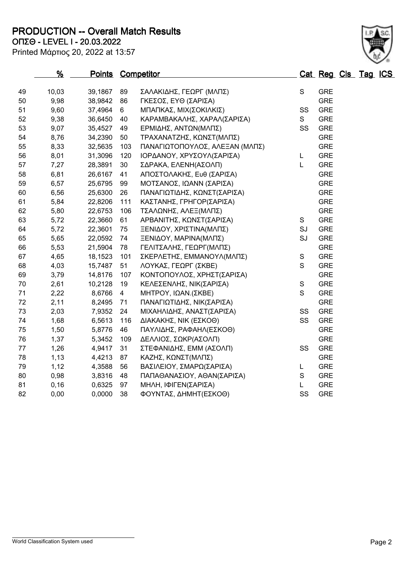**PRODUCTION -- Overall Match Results**

**ΟΠΣΘ - LEVEL I - 20.03.2022**

| Printed Μάρτιος 20, 2022 at 13:57 |  |  |  |  |
|-----------------------------------|--|--|--|--|
|-----------------------------------|--|--|--|--|

|    | %     | Points Competitor |                |                                |               | Cat Reg Cls Tag ICS |  |  |
|----|-------|-------------------|----------------|--------------------------------|---------------|---------------------|--|--|
| 49 | 10,03 | 39,1867           | 89             | ΣΑΛΑΚΙΔΗΣ, ΓΕΩΡΓ (ΜΛΠΣ)        | $\mathbf S$   | <b>GRE</b>          |  |  |
| 50 | 9,98  | 38,9842           | 86             | ΓΚΕΣΟΣ, ΕΥΘ (ΣΑΡΙΣΑ)           |               | <b>GRE</b>          |  |  |
| 51 | 9,60  | 37,4964           | 6              | ΜΠΑΠΚΑΣ, ΜΙΧ(ΣΟΚΙΛΚΙΣ)         | SS            | <b>GRE</b>          |  |  |
| 52 | 9,38  | 36,6450           | 40             | ΚΑΡΑΜΒΑΚΑΛΗΣ, ΧΑΡΑΛ(ΣΑΡΙΣΑ)    | S             | <b>GRE</b>          |  |  |
| 53 | 9,07  | 35,4527           | 49             | ΕΡΜΙΔΗΣ, ΑΝΤΩΝ(ΜΛΠΣ)           | SS            | <b>GRE</b>          |  |  |
| 54 | 8,76  | 34,2390           | 50             | ΤΡΑΧΑΝΑΤΖΗΣ, ΚΩΝΣΤ(ΜΛΠΣ)       |               | <b>GRE</b>          |  |  |
| 55 | 8,33  | 32,5635           | 103            | ΠΑΝΑΓΙΩΤΟΠΟΥΛΟΣ, ΑΛΕΞΑΝ (ΜΛΠΣ) |               | <b>GRE</b>          |  |  |
| 56 | 8,01  | 31,3096           | 120            | ΙΟΡΔΑΝΟΥ, ΧΡΥΣΟΥΛ(ΣΑΡΙΣΑ)      | L             | <b>GRE</b>          |  |  |
| 57 | 7,27  | 28,3891           | 30             | ΣΔΡΑΚΑ, ΕΛΕΝΗ(ΑΣΟΛΠ)           | L             | <b>GRE</b>          |  |  |
| 58 | 6,81  | 26,6167           | 41             | ΑΠΟΣΤΟΛΑΚΗΣ, Ευθ (ΣΑΡΙΣΑ)      |               | <b>GRE</b>          |  |  |
| 59 | 6,57  | 25,6795           | 99             | ΜΟΤΣΑΝΟΣ, ΙΩΑΝΝ (ΣΑΡΙΣΑ)       |               | <b>GRE</b>          |  |  |
| 60 | 6,56  | 25,6300           | 26             | ΠΑΝΑΓΙΩΤΙΔΗΣ, ΚΩΝΣΤ(ΣΑΡΙΣΑ)    |               | <b>GRE</b>          |  |  |
| 61 | 5,84  | 22,8206           | 111            | ΚΑΣΤΑΝΗΣ, ΓΡΗΓΟΡ(ΣΑΡΙΣΑ)       |               | <b>GRE</b>          |  |  |
| 62 | 5,80  | 22,6753           | 106            | ΤΣΑΛΩΝΗΣ, ΑΛΕΞ(ΜΛΠΣ)           |               | <b>GRE</b>          |  |  |
| 63 | 5,72  | 22,3660           | 61             | ΑΡΒΑΝΙΤΗΣ, ΚΩΝΣΤ(ΣΑΡΙΣΑ)       | S             | <b>GRE</b>          |  |  |
| 64 | 5,72  | 22,3601           | 75             | ΞΕΝΙΔΟΥ, ΧΡΙΣΤΙΝΑ(ΜΛΠΣ)        | SJ            | <b>GRE</b>          |  |  |
| 65 | 5,65  | 22,0592           | 74             | ΞΕΝΙΔΟΥ, ΜΑΡΙΝΑ(ΜΛΠΣ)          | SJ            | <b>GRE</b>          |  |  |
| 66 | 5,53  | 21,5904           | 78             | ΓΕΛΙΤΣΑΛΗΣ, ΓΕΩΡΓ(ΜΛΠΣ)        |               | <b>GRE</b>          |  |  |
| 67 | 4,65  | 18,1523           | 101            | ΣΚΕΡΛΕΤΗΣ, ΕΜΜΑΝΟΥΛ(ΜΛΠΣ)      | ${\mathsf S}$ | <b>GRE</b>          |  |  |
| 68 | 4,03  | 15,7487           | 51             | ΛΟΥΚΑΣ, ΓΕΩΡΓ (ΣΚΒΕ)           | S             | <b>GRE</b>          |  |  |
| 69 | 3,79  | 14,8176           | 107            | ΚΟΝΤΟΠΟΥΛΟΣ, ΧΡΗΣΤ(ΣΑΡΙΣΑ)     |               | <b>GRE</b>          |  |  |
| 70 | 2,61  | 10,2128           | 19             | ΚΕΛΕΣΕΝΛΗΣ, ΝΙΚ(ΣΑΡΙΣΑ)        | ${\mathsf S}$ | <b>GRE</b>          |  |  |
| 71 | 2,22  | 8,6766            | $\overline{4}$ | ΜΗΤΡΟΥ, ΙΩΑΝ.(ΣΚΒΕ)            | S             | <b>GRE</b>          |  |  |
| 72 | 2,11  | 8,2495            | 71             | ΠΑΝΑΓΙΩΤΙΔΗΣ, ΝΙΚ(ΣΑΡΙΣΑ)      |               | <b>GRE</b>          |  |  |
| 73 | 2,03  | 7,9352            | 24             | ΜΙΧΑΗΛΙΔΗΣ, ΑΝΑΣΤ(ΣΑΡΙΣΑ)      | SS            | <b>GRE</b>          |  |  |
| 74 | 1,68  | 6,5613            | 116            | ΔΙΑΚΑΚΗΣ, ΝΙΚ (ΕΣΚΟΘ)          | SS            | <b>GRE</b>          |  |  |
| 75 | 1,50  | 5,8776            | 46             | ΠΑΥΛΙΔΗΣ, ΡΑΦΑΗΛ(ΕΣΚΟΘ)        |               | <b>GRE</b>          |  |  |
| 76 | 1,37  | 5,3452            | 109            | ΔΕΛΛΙΟΣ, ΣΩΚΡ(ΑΣΟΛΠ)           |               | <b>GRE</b>          |  |  |
| 77 | 1,26  | 4,9417            | 31             | ΣΤΕΦΑΝΙΔΗΣ, ΕΜΜ (ΑΣΟΛΠ)        | SS            | <b>GRE</b>          |  |  |
| 78 | 1,13  | 4,4213            | 87             | ΚΑΖΗΣ, ΚΩΝΣΤ(ΜΛΠΣ)             |               | <b>GRE</b>          |  |  |
| 79 | 1,12  | 4,3588            | 56             | ΒΑΣΙΛΕΙΟΥ, ΣΜΑΡΩ(ΣΑΡΙΣΑ)       | L             | <b>GRE</b>          |  |  |
| 80 | 0,98  | 3,8316            | 48             | ΠΑΠΑΘΑΝΑΣΙΟΥ, ΑΘΑΝ(ΣΑΡΙΣΑ)     | $\mathbf S$   | <b>GRE</b>          |  |  |
| 81 | 0, 16 | 0,6325            | 97             | ΜΗΛΗ, ΙΦΙΓΕΝ(ΣΑΡΙΣΑ)           | L             | <b>GRE</b>          |  |  |

82 0,00 0,0000 38 ΦΟΥΝΤΑΣ, ΔΗΜΗΤ(ΕΣΚΟΘ) SS GRE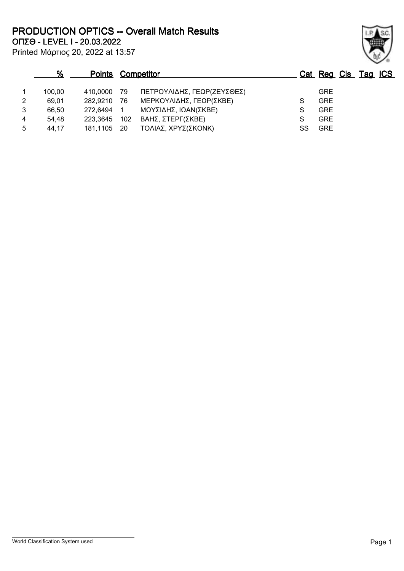**ΟΠΣΘ - LEVEL I - 20.03.2022 PRODUCTION OPTICS -- Overall Match Results**

Printed Μάρτιος 20, 2022 at 13:57

## **% Points Competitor Cat Reg Cls Tag ICS** 1 100,00 410,0000 79 ΠΕΤΡΟΥΛΙΔΗΣ, ΓΕΩΡ(ΖΕΥΣΘΕΣ) GRE 2 69,01 282,9210 76 ΜΕΡΚΟΥΛΙΔΗΣ, ΓΕΩΡ(ΣΚΒΕ) S GRE 3 66,50 272,6494 1 ΜΩΥΣΙΔΗΣ, ΙΩΑΝ(ΣΚΒΕ) S GRE 4 54,48 223,3645 102 ΒΑΗΣ, ΣΤΕΡΓ(ΣΚΒΕ) S GRE 5 44,17 181,1105 20 ΤΟΛΙΑΣ, ΧΡΥΣ(ΣΚΟΝΚ) SS GRE

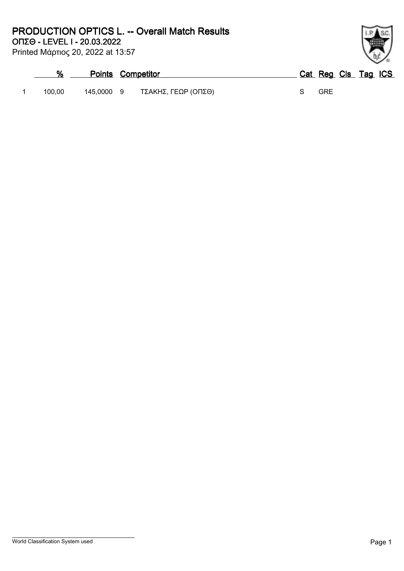Printed Μάρτιος 20, 2022 at 13:57

| %      | <b>Points Competitor</b> |                     | Cat Reg Cls Tag ICS |  |
|--------|--------------------------|---------------------|---------------------|--|
| 100.00 | 145.0000 9               | ΤΣΑΚΗΣ, ΓΕΩΡ (ΟΠΣΘ) | <b>GRE</b>          |  |

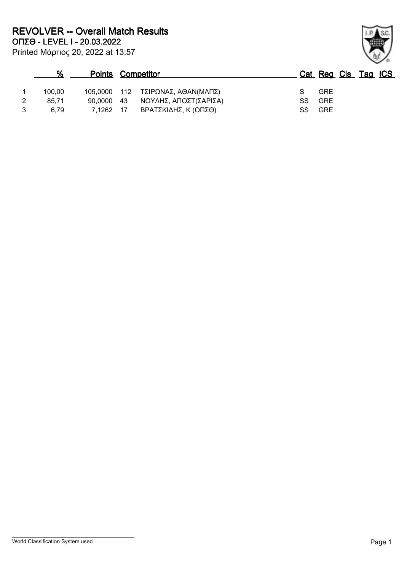| %      | <b>Points Competitor</b> |      |                                   |      | Cat Reg Cls Tag ICS |  |  |
|--------|--------------------------|------|-----------------------------------|------|---------------------|--|--|
| 100.00 |                          |      | 105,0000 112 ΤΣΙΡΩΝΑΣ, ΑΘΑΝ(ΜΛΠΣ) |      | <b>GRE</b>          |  |  |
| 85.71  |                          |      | 90,0000 43 ΝΟΥΛΗΣ, ΑΠΟΣΤ(ΣΑΡΙΣΑ)  | SS . | GRE                 |  |  |
| 6.79   | 7.1262                   | - 17 | ΒΡΑΤΣΚΙΔΗΣ, Κ (ΟΠΣΘ)              | SS.  | <b>GRE</b>          |  |  |